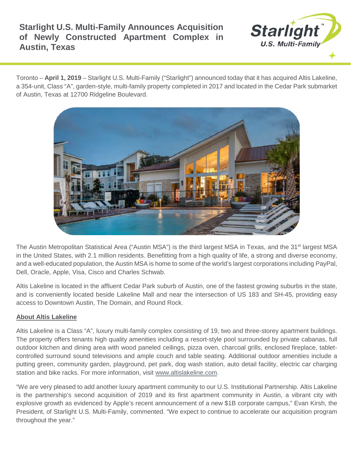# **Starlight U.S. Multi-Family Announces Acquisition of Newly Constructed Apartment Complex in Austin, Texas**



Toronto – **April 1, 2019** – Starlight U.S. Multi-Family ("Starlight") announced today that it has acquired Altis Lakeline, a 354-unit, Class "A", garden-style, multi-family property completed in 2017 and located in the Cedar Park submarket of Austin, Texas at 12700 Ridgeline Boulevard.



The Austin Metropolitan Statistical Area ("Austin MSA") is the third largest MSA in Texas, and the 31<sup>st</sup> largest MSA in the United States, with 2.1 million residents. Benefitting from a high quality of life, a strong and diverse economy, and a well-educated population, the Austin MSA is home to some of the world's largest corporations including PayPal, Dell, Oracle, Apple, Visa, Cisco and Charles Schwab.

Altis Lakeline is located in the affluent Cedar Park suburb of Austin, one of the fastest growing suburbs in the state, and is conveniently located beside Lakeline Mall and near the intersection of US 183 and SH-45, providing easy access to Downtown Austin, The Domain, and Round Rock.

# **About Altis Lakeline**

Altis Lakeline is a Class "A", luxury multi-family complex consisting of 19, two and three-storey apartment buildings. The property offers tenants high quality amenities including a resort-style pool surrounded by private cabanas, full outdoor kitchen and dining area with wood paneled ceilings, pizza oven, charcoal grills, enclosed fireplace, tabletcontrolled surround sound televisions and ample couch and table seating. Additional outdoor amenities include a putting green, community garden, playground, pet park, dog wash station, auto detail facility, electric car charging station and bike racks. For more information, visit [www.altislakeline.com.](http://www.altislakeline.com/)

"We are very pleased to add another luxury apartment community to our U.S. Institutional Partnership. Altis Lakeline is the partnership's second acquisition of 2019 and its first apartment community in Austin, a vibrant city with explosive growth as evidenced by Apple's recent announcement of a new \$1B corporate campus," Evan Kirsh, the President, of Starlight U.S. Multi-Family, commented. "We expect to continue to accelerate our acquisition program throughout the year."